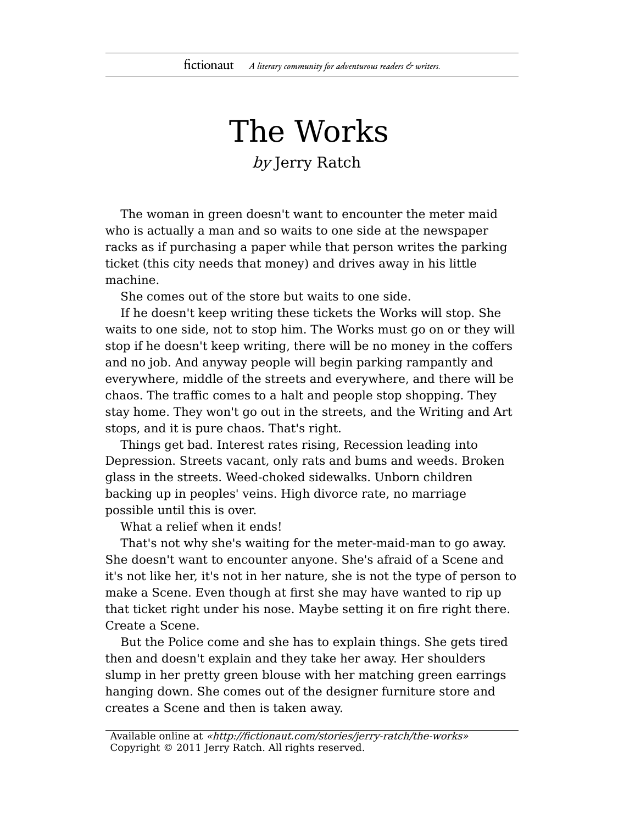## The Works

by Jerry Ratch

The woman in green doesn't want to encounter the meter maid who is actually a man and so waits to one side at the newspaper racks as if purchasing a paper while that person writes the parking ticket (this city needs that money) and drives away in his little machine.

She comes out of the store but waits to one side.

If he doesn't keep writing these tickets the Works will stop. She waits to one side, not to stop him. The Works must go on or they will stop if he doesn't keep writing, there will be no money in the coffers and no job. And anyway people will begin parking rampantly and everywhere, middle of the streets and everywhere, and there will be chaos. The traffic comes to a halt and people stop shopping. They stay home. They won't go out in the streets, and the Writing and Art stops, and it is pure chaos. That's right.

Things get bad. Interest rates rising, Recession leading into Depression. Streets vacant, only rats and bums and weeds. Broken glass in the streets. Weed-choked sidewalks. Unborn children backing up in peoples' veins. High divorce rate, no marriage possible until this is over.

What a relief when it ends!

That's not why she's waiting for the meter-maid-man to go away. She doesn't want to encounter anyone. She's afraid of a Scene and it's not like her, it's not in her nature, she is not the type of person to make a Scene. Even though at first she may have wanted to rip up that ticket right under his nose. Maybe setting it on fire right there. Create a Scene.

But the Police come and she has to explain things. She gets tired then and doesn't explain and they take her away. Her shoulders slump in her pretty green blouse with her matching green earrings hanging down. She comes out of the designer furniture store and creates a Scene and then is taken away.